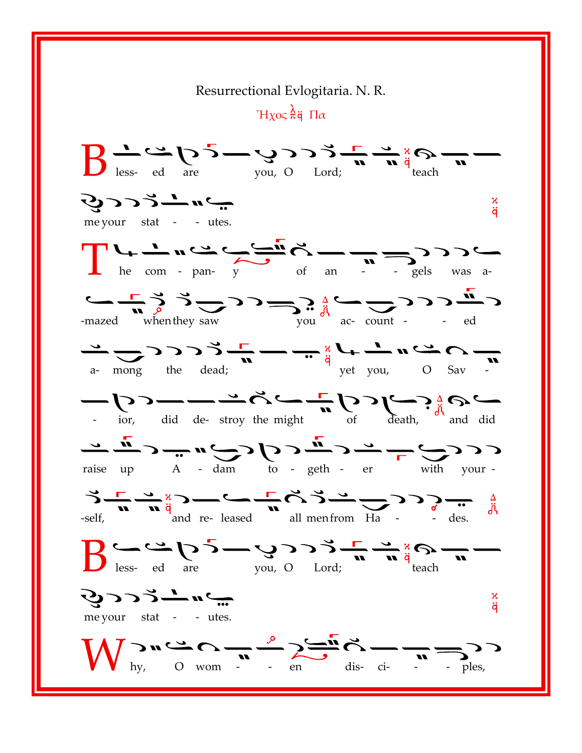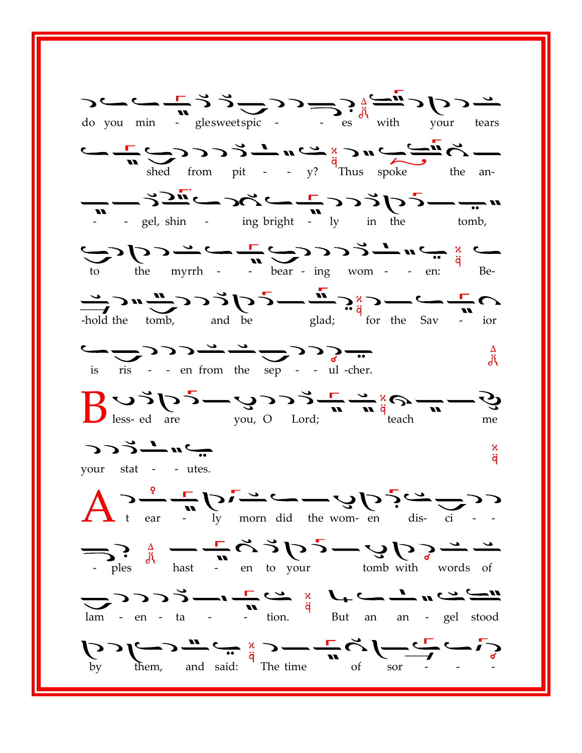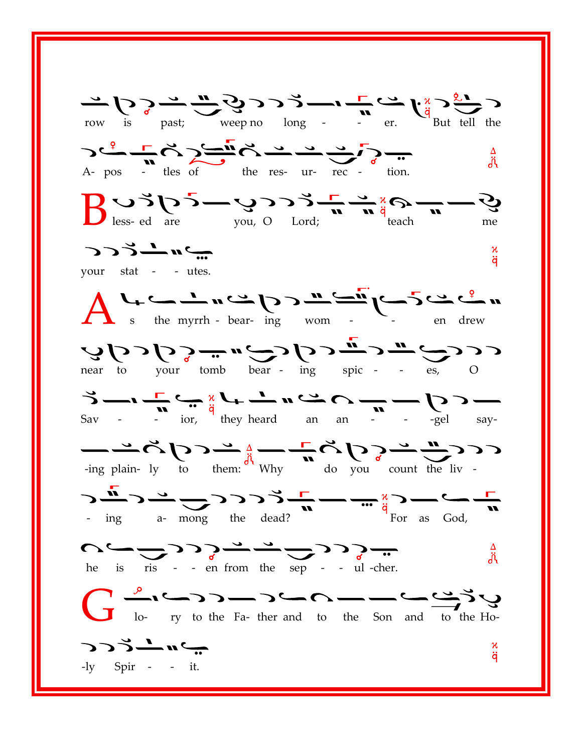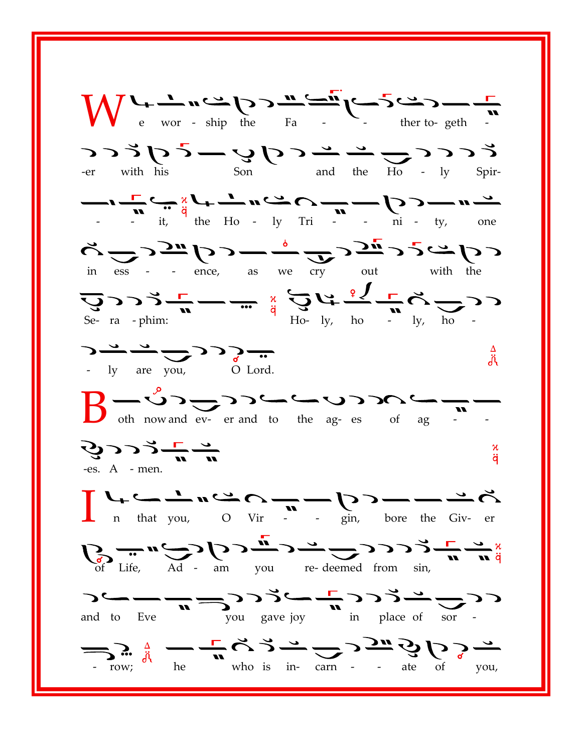$\sum_{e}$  wor - ship the Fa  $5 \times 5 = 5$  on  $2 \times 5 = 5$  and the Ho - ly Spir- $\frac{1}{\sqrt{n}}\sum_{i=1}^{n} \frac{1}{i} \sum_{i=1}^{n} \frac{1}{i} \sum_{j=1}^{n} \frac{1}{i} \sum_{j=1}^{n} \frac{1}{i} \sum_{j=1}^{n} \frac{1}{i} \sum_{j=1}^{n} \frac{1}{i} \sum_{j=1}^{n} \frac{1}{i} \sum_{j=1}^{n} \frac{1}{i} \sum_{j=1}^{n} \frac{1}{i} \sum_{j=1}^{n} \frac{1}{i} \sum_{j=1}^{n} \frac{1}{i} \sum_{j=1}^{n} \frac{1}{i} \sum_{j=1}$  $\sum_{\text{in}}$   $\sum_{\text{ess}}$   $\sum_{\text{in}}$   $\sum_{\text{in}}$   $\sum_{\text{in}}$   $\sum_{\text{out}}$   $\sum_{\text{out}}$   $\sum_{\text{out}}$   $\sum_{\text{with}}$   $\sum_{\text{the}}$  $\sum_{\text{Se- ra - phim:}}$   $\sum_{\text{m}}$   $\sum_{\text{m}}$   $\sum_{\text{m}}$   $\sum_{\text{q}}$   $\sum_{\text{Ho- ly, ho}}$   $\sum_{\text{p}}$   $\sum_{\text{p}}$   $\sum_{\text{p}}$   $\sum_{\text{p}}$   $\sum_{\text{p}}$   $\sum_{\text{p}}$  $\sum \frac{1}{y}$  are you,  $\frac{\Delta}{d\lambda}$  $B - 0$  of  $\sum$  of  $\sum$  of  $\sum$  of  $\sum$  of  $\sum$  of  $\sum$  of  $\sum$  of  $\sum$  of  $\sum$  of  $\sum$  of  $\sum$  of  $\sum$  of  $\sum$  of  $\sum$  of  $\sum$  of  $\sum$  of  $\sum$  of  $\sum$  of  $\sum$  of  $\sum$  of  $\sum$  of  $\sum$  of  $\sum$  of  $\sum$  of  $\sum$  of  $\sum$  of  $\sum$ マンシーニ κ ä -es.  $A$  - men.  $\sum_{n}$  that you,  $\sum_{n}$  vir  $\sum_{n}$   $\sum_{n}$  bore the Given  $\sum_{\text{of the of } \text{Life}} m \sum_{\text{Ad}} \sum \sum_{\text{am}} \sum_{\text{you}} m \sum_{\text{re-deemed from } \sin, m} \sum_{\text{cm}} \sum_{\text{at}} \frac{m}{q}$ and to Eve  $\frac{1}{\sqrt{n}}$   $\frac{1}{\sqrt{2}}$   $\frac{1}{\sqrt{2}}$   $\frac{1}{\sqrt{2}}$   $\frac{1}{\sqrt{2}}$   $\frac{1}{\sqrt{2}}$   $\frac{1}{\sqrt{2}}$   $\frac{1}{\sqrt{2}}$   $\frac{1}{\sqrt{2}}$   $\frac{1}{\sqrt{2}}$   $\frac{1}{\sqrt{2}}$   $\frac{1}{\sqrt{2}}$   $\frac{1}{\sqrt{2}}$   $\frac{1}{\sqrt{2}}$   $\frac{1}{\sqrt{2}}$   $\frac{1}{\sqrt{2}}$   $\frac$ and to Eve  $\sum_{\text{row;}} \frac{1}{\sqrt{1-\frac{1}{n}}} \sum_{\text{when } n} \sum_{\text{when } n} \sum_{\text{on } n} \sum_{n} \sum_{\text{form } n} \sum_{n} \sum_{\text{when } n} \sum_{\text{when } n} \sum_{\text{when } n} \sum_{n} \sum_{\text{then } n} \sum_{\text{then } n} \sum_{\text{then } n} \sum_{\text{then } n} \sum_{\text{then } n} \sum_{\text{then } n} \sum_{\text{then } n} \sum_{\text{then } n} \sum_{\text{then } n} \sum_{\text{then } n} \sum_{\text{then } n}$